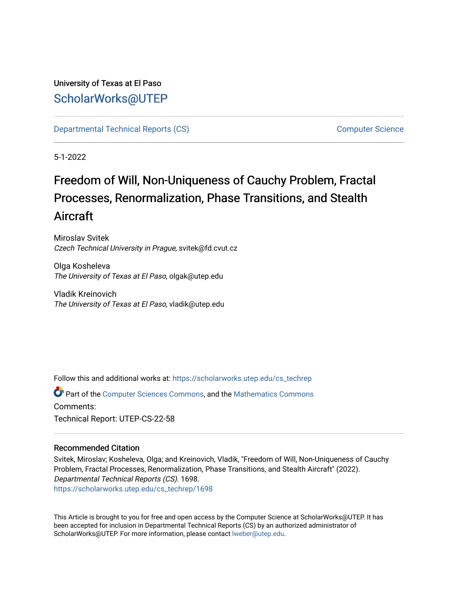## University of Texas at El Paso [ScholarWorks@UTEP](https://scholarworks.utep.edu/)

[Departmental Technical Reports \(CS\)](https://scholarworks.utep.edu/cs_techrep) [Computer Science](https://scholarworks.utep.edu/computer) 

5-1-2022

# Freedom of Will, Non-Uniqueness of Cauchy Problem, Fractal Processes, Renormalization, Phase Transitions, and Stealth Aircraft

Miroslav Svitek Czech Technical University in Prague, svitek@fd.cvut.cz

Olga Kosheleva The University of Texas at El Paso, olgak@utep.edu

Vladik Kreinovich The University of Texas at El Paso, vladik@utep.edu

Follow this and additional works at: [https://scholarworks.utep.edu/cs\\_techrep](https://scholarworks.utep.edu/cs_techrep?utm_source=scholarworks.utep.edu%2Fcs_techrep%2F1698&utm_medium=PDF&utm_campaign=PDFCoverPages) 

Part of the [Computer Sciences Commons](https://network.bepress.com/hgg/discipline/142?utm_source=scholarworks.utep.edu%2Fcs_techrep%2F1698&utm_medium=PDF&utm_campaign=PDFCoverPages), and the [Mathematics Commons](https://network.bepress.com/hgg/discipline/174?utm_source=scholarworks.utep.edu%2Fcs_techrep%2F1698&utm_medium=PDF&utm_campaign=PDFCoverPages)  Comments: Technical Report: UTEP-CS-22-58

### Recommended Citation

Svitek, Miroslav; Kosheleva, Olga; and Kreinovich, Vladik, "Freedom of Will, Non-Uniqueness of Cauchy Problem, Fractal Processes, Renormalization, Phase Transitions, and Stealth Aircraft" (2022). Departmental Technical Reports (CS). 1698. [https://scholarworks.utep.edu/cs\\_techrep/1698](https://scholarworks.utep.edu/cs_techrep/1698?utm_source=scholarworks.utep.edu%2Fcs_techrep%2F1698&utm_medium=PDF&utm_campaign=PDFCoverPages) 

This Article is brought to you for free and open access by the Computer Science at ScholarWorks@UTEP. It has been accepted for inclusion in Departmental Technical Reports (CS) by an authorized administrator of ScholarWorks@UTEP. For more information, please contact [lweber@utep.edu](mailto:lweber@utep.edu).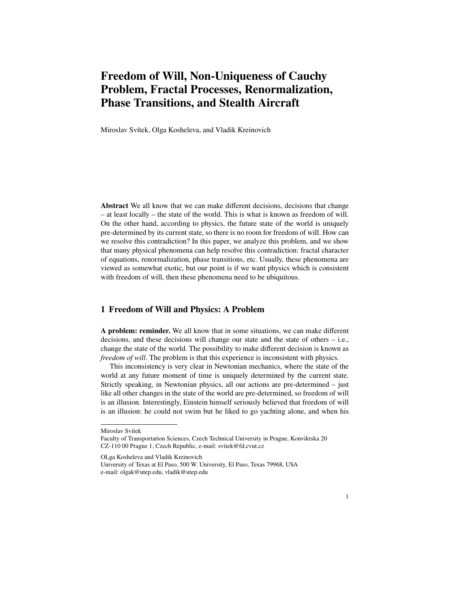## **Freedom of Will, Non-Uniqueness of Cauchy Problem, Fractal Processes, Renormalization, Phase Transitions, and Stealth Aircraft**

Miroslav Svítek, Olga Kosheleva, and Vladik Kreinovich

**Abstract** We all know that we can make different decisions, decisions that change – at least locally – the state of the world. This is what is known as freedom of will. On the other hand, according to physics, the future state of the world is uniquely pre-determined by its current state, so there is no room for freedom of will. How can we resolve this contradiction? In this paper, we analyze this problem, and we show that many physical phenomena can help resolve this contradiction: fractal character of equations, renormalization, phase transitions, etc. Usually, these phenomena are viewed as somewhat exotic, but our point is if we want physics which is consistent with freedom of will, then these phenomena need to be ubiquitous.

#### **1 Freedom of Will and Physics: A Problem**

**A problem: reminder.** We all know that in some situations, we can make different decisions, and these decisions will change our state and the state of others – i.e., change the state of the world. The possibility to make different decision is known as *freedom of will*. The problem is that this experience is inconsistent with physics.

This inconsistency is very clear in Newtonian mechanics, where the state of the world at any future moment of time is uniquely determined by the current state. Strictly speaking, in Newtonian physics, all our actions are pre-determined – just like all other changes in the state of the world are pre-determined, so freedom of will is an illusion. Interestingly, Einstein himself seriously believed that freedom of will is an illusion: he could not swim but he liked to go yachting alone, and when his

Miroslav Svítek

Faculty of Transportation Sciences, Czech Technical University in Prague, Konviktska 20 CZ-110 00 Prague 1, Czech Republic, e-mail: svitek@fd.cvut.cz

OLga Kosheleva and Vladik Kreinovich

University of Texas at El Paso, 500 W. University, El Paso, Texas 79968, USA e-mail: olgak@utep.edu, vladik@utep.edu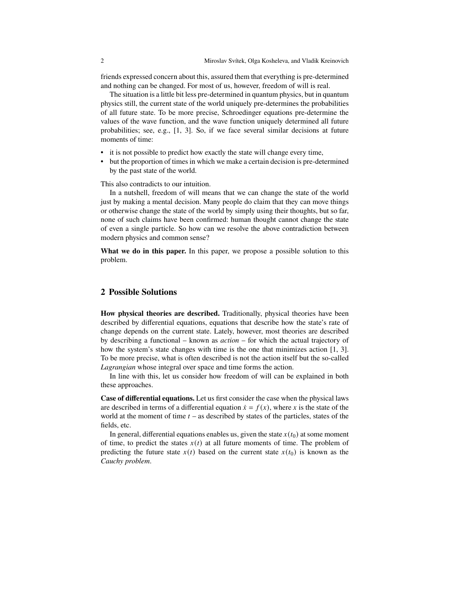friends expressed concern about this, assured them that everything is pre-determined and nothing can be changed. For most of us, however, freedom of will is real.

The situation is a little bit less pre-determined in quantum physics, but in quantum physics still, the current state of the world uniquely pre-determines the probabilities of all future state. To be more precise, Schroedinger equations pre-determine the values of the wave function, and the wave function uniquely determined all future probabilities; see, e.g., [1, 3]. So, if we face several similar decisions at future moments of time:

- it is not possible to predict how exactly the state will change every time,
- but the proportion of times in which we make a certain decision is pre-determined by the past state of the world.

This also contradicts to our intuition.

In a nutshell, freedom of will means that we can change the state of the world just by making a mental decision. Many people do claim that they can move things or otherwise change the state of the world by simply using their thoughts, but so far, none of such claims have been confirmed: human thought cannot change the state of even a single particle. So how can we resolve the above contradiction between modern physics and common sense?

**What we do in this paper.** In this paper, we propose a possible solution to this problem.

#### **2 Possible Solutions**

**How physical theories are described.** Traditionally, physical theories have been described by differential equations, equations that describe how the state's rate of change depends on the current state. Lately, however, most theories are described by describing a functional – known as *action* – for which the actual trajectory of how the system's state changes with time is the one that minimizes action [1, 3]. To be more precise, what is often described is not the action itself but the so-called *Lagrangian* whose integral over space and time forms the action.

In line with this, let us consider how freedom of will can be explained in both these approaches.

**Case of differential equations.** Let us first consider the case when the physical laws are described in terms of a differential equation  $\dot{x} = f(x)$ , where x is the state of the world at the moment of time  $t -$  as described by states of the particles, states of the fields, etc.

In general, differential equations enables us, given the state  $x(t_0)$  at some moment of time, to predict the states  $x(t)$  at all future moments of time. The problem of predicting the future state  $x(t)$  based on the current state  $x(t_0)$  is known as the *Cauchy problem*.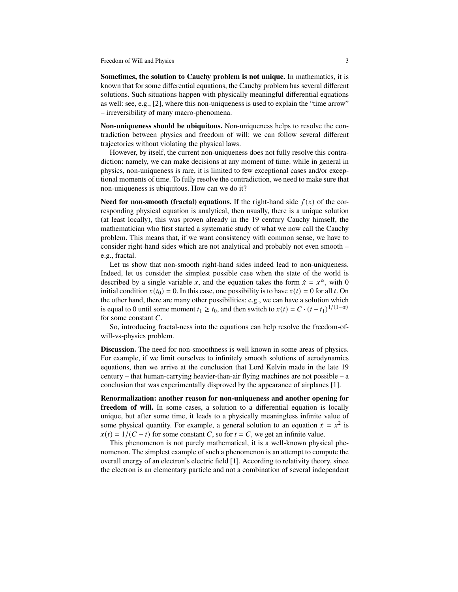Freedom of Will and Physics 3

**Sometimes, the solution to Cauchy problem is not unique.** In mathematics, it is known that for some differential equations, the Cauchy problem has several different solutions. Such situations happen with physically meaningful differential equations as well: see, e.g., [2], where this non-uniqueness is used to explain the "time arrow" – irreversibility of many macro-phenomena.

**Non-uniqueness should be ubiquitous.** Non-uniqueness helps to resolve the contradiction between physics and freedom of will: we can follow several different trajectories without violating the physical laws.

However, by itself, the current non-uniqueness does not fully resolve this contradiction: namely, we can make decisions at any moment of time. while in general in physics, non-uniqueness is rare, it is limited to few exceptional cases and/or exceptional moments of time. To fully resolve the contradiction, we need to make sure that non-uniqueness is ubiquitous. How can we do it?

**Need for non-smooth (fractal) equations.** If the right-hand side  $f(x)$  of the corresponding physical equation is analytical, then usually, there is a unique solution (at least locally), this was proven already in the 19 century Cauchy himself, the mathematician who first started a systematic study of what we now call the Cauchy problem. This means that, if we want consistency with common sense, we have to consider right-hand sides which are not analytical and probably not even smooth – e.g., fractal.

Let us show that non-smooth right-hand sides indeed lead to non-uniqueness. Indeed, let us consider the simplest possible case when the state of the world is described by a single variable x, and the equation takes the form  $\dot{x} = x^{\alpha}$ , with 0 initial condition  $x(t_0) = 0$ . In this case, one possibility is to have  $x(t) = 0$  for all t. On the other hand, there are many other possibilities: e.g., we can have a solution which is equal to 0 until some moment  $t_1 \ge t_0$ , and then switch to  $x(t) = C \cdot (t - t_1)^{1/(1-\alpha)}$ for some constant  $C$ .

So, introducing fractal-ness into the equations can help resolve the freedom-ofwill-vs-physics problem.

**Discussion.** The need for non-smoothness is well known in some areas of physics. For example, if we limit ourselves to infinitely smooth solutions of aerodynamics equations, then we arrive at the conclusion that Lord Kelvin made in the late 19 century – that human-carrying heavier-than-air flying machines are not possible – a conclusion that was experimentally disproved by the appearance of airplanes [1].

**Renormalization: another reason for non-uniqueness and another opening for freedom of will.** In some cases, a solution to a differential equation is locally unique, but after some time, it leads to a physically meaningless infinite value of some physical quantity. For example, a general solution to an equation  $\dot{x} = x^2$  is  $x(t) = 1/(C - t)$  for some constant C, so for  $t = C$ , we get an infinite value.

This phenomenon is not purely mathematical, it is a well-known physical phenomenon. The simplest example of such a phenomenon is an attempt to compute the overall energy of an electron's electric field [1]. According to relativity theory, since the electron is an elementary particle and not a combination of several independent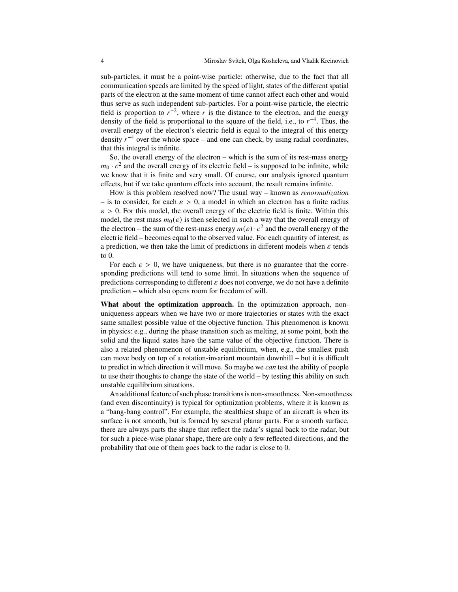sub-particles, it must be a point-wise particle: otherwise, due to the fact that all communication speeds are limited by the speed of light, states of the different spatial parts of the electron at the same moment of time cannot affect each other and would thus serve as such independent sub-particles. For a point-wise particle, the electric field is proportion to  $r^{-2}$ , where r is the distance to the electron, and the energy density of the field is proportional to the square of the field, i.e., to  $r^{-4}$ . Thus, the overall energy of the electron's electric field is equal to the integral of this energy density  $r^{-4}$  over the whole space – and one can check, by using radial coordinates, that this integral is infinite.

So, the overall energy of the electron – which is the sum of its rest-mass energy  $m_0 \cdot c^2$  and the overall energy of its electric field – is supposed to be infinite, while we know that it is finite and very small. Of course, our analysis ignored quantum effects, but if we take quantum effects into account, the result remains infinite.

How is this problem resolved now? The usual way – known as *renormalization* – is to consider, for each  $\varepsilon > 0$ , a model in which an electron has a finite radius  $\varepsilon > 0$ . For this model, the overall energy of the electric field is finite. Within this model, the rest mass  $m_0(\varepsilon)$  is then selected in such a way that the overall energy of the electron – the sum of the rest-mass energy  $m(\varepsilon) \cdot c^2$  and the overall energy of the electric field – becomes equal to the observed value. For each quantity of interest, as a prediction, we then take the limit of predictions in different models when  $\varepsilon$  tends to 0.

For each  $\varepsilon > 0$ , we have uniqueness, but there is no guarantee that the corresponding predictions will tend to some limit. In situations when the sequence of predictions corresponding to different  $\varepsilon$  does not converge, we do not have a definite prediction – which also opens room for freedom of will.

**What about the optimization approach.** In the optimization approach, nonuniqueness appears when we have two or more trajectories or states with the exact same smallest possible value of the objective function. This phenomenon is known in physics: e.g., during the phase transition such as melting, at some point, both the solid and the liquid states have the same value of the objective function. There is also a related phenomenon of unstable equilibrium, when, e.g., the smallest push can move body on top of a rotation-invariant mountain downhill – but it is difficult to predict in which direction it will move. So maybe we *can* test the ability of people to use their thoughts to change the state of the world – by testing this ability on such unstable equilibrium situations.

An additional feature of such phase transitions is non-smoothness. Non-smoothness (and even discontinuity) is typical for optimization problems, where it is known as a "bang-bang control". For example, the stealthiest shape of an aircraft is when its surface is not smooth, but is formed by several planar parts. For a smooth surface, there are always parts the shape that reflect the radar's signal back to the radar, but for such a piece-wise planar shape, there are only a few reflected directions, and the probability that one of them goes back to the radar is close to 0.